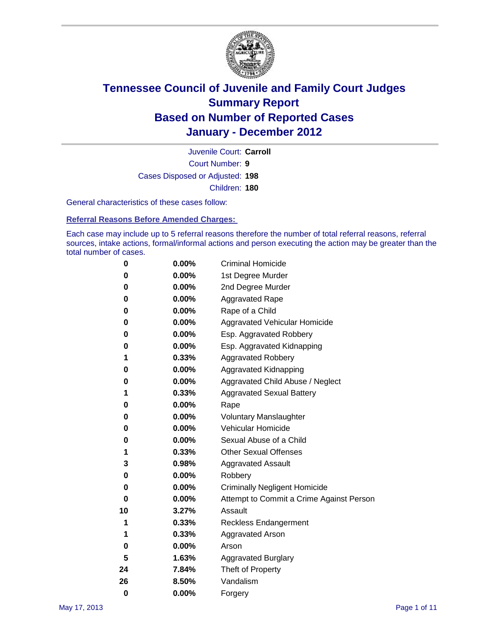

Court Number: **9** Juvenile Court: **Carroll** Cases Disposed or Adjusted: **198** Children: **180**

General characteristics of these cases follow:

**Referral Reasons Before Amended Charges:** 

Each case may include up to 5 referral reasons therefore the number of total referral reasons, referral sources, intake actions, formal/informal actions and person executing the action may be greater than the total number of cases.

| 0  | 0.00% | <b>Criminal Homicide</b>                 |
|----|-------|------------------------------------------|
| 0  | 0.00% | 1st Degree Murder                        |
| 0  | 0.00% | 2nd Degree Murder                        |
| 0  | 0.00% | <b>Aggravated Rape</b>                   |
| 0  | 0.00% | Rape of a Child                          |
| 0  | 0.00% | Aggravated Vehicular Homicide            |
| 0  | 0.00% | Esp. Aggravated Robbery                  |
| 0  | 0.00% | Esp. Aggravated Kidnapping               |
| 1  | 0.33% | <b>Aggravated Robbery</b>                |
| 0  | 0.00% | Aggravated Kidnapping                    |
| 0  | 0.00% | Aggravated Child Abuse / Neglect         |
| 1  | 0.33% | <b>Aggravated Sexual Battery</b>         |
| 0  | 0.00% | Rape                                     |
| 0  | 0.00% | <b>Voluntary Manslaughter</b>            |
| 0  | 0.00% | Vehicular Homicide                       |
| 0  | 0.00% | Sexual Abuse of a Child                  |
| 1  | 0.33% | <b>Other Sexual Offenses</b>             |
| 3  | 0.98% | <b>Aggravated Assault</b>                |
| 0  | 0.00% | Robbery                                  |
| 0  | 0.00% | <b>Criminally Negligent Homicide</b>     |
| 0  | 0.00% | Attempt to Commit a Crime Against Person |
| 10 | 3.27% | Assault                                  |
| 1  | 0.33% | <b>Reckless Endangerment</b>             |
| 1  | 0.33% | <b>Aggravated Arson</b>                  |
| 0  | 0.00% | Arson                                    |
| 5  | 1.63% | <b>Aggravated Burglary</b>               |
| 24 | 7.84% | Theft of Property                        |
| 26 | 8.50% | Vandalism                                |
| 0  | 0.00% | Forgery                                  |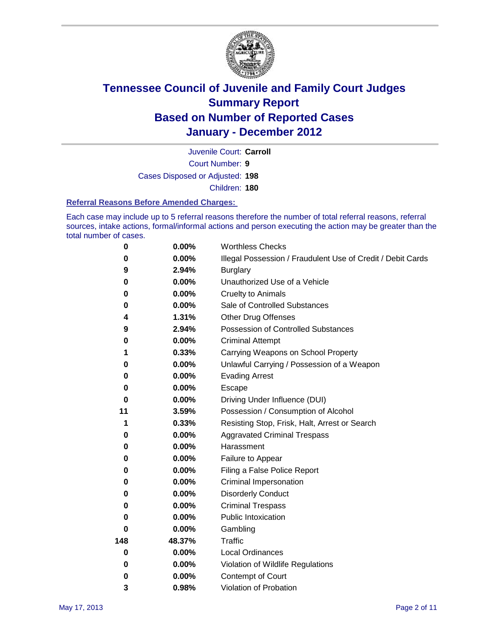

Court Number: **9** Juvenile Court: **Carroll** Cases Disposed or Adjusted: **198** Children: **180**

#### **Referral Reasons Before Amended Charges:**

Each case may include up to 5 referral reasons therefore the number of total referral reasons, referral sources, intake actions, formal/informal actions and person executing the action may be greater than the total number of cases.

| $\pmb{0}$ | 0.00%    | <b>Worthless Checks</b>                                     |  |  |
|-----------|----------|-------------------------------------------------------------|--|--|
| 0         | 0.00%    | Illegal Possession / Fraudulent Use of Credit / Debit Cards |  |  |
| 9         | 2.94%    | <b>Burglary</b>                                             |  |  |
| $\bf{0}$  | $0.00\%$ | Unauthorized Use of a Vehicle                               |  |  |
| 0         | $0.00\%$ | <b>Cruelty to Animals</b>                                   |  |  |
| $\bf{0}$  | 0.00%    | Sale of Controlled Substances                               |  |  |
| 4         | 1.31%    | <b>Other Drug Offenses</b>                                  |  |  |
| 9         | 2.94%    | Possession of Controlled Substances                         |  |  |
| 0         | $0.00\%$ | <b>Criminal Attempt</b>                                     |  |  |
| 1         | 0.33%    | Carrying Weapons on School Property                         |  |  |
| 0         | $0.00\%$ | Unlawful Carrying / Possession of a Weapon                  |  |  |
| 0         | $0.00\%$ | <b>Evading Arrest</b>                                       |  |  |
| 0         | 0.00%    | Escape                                                      |  |  |
| 0         | $0.00\%$ | Driving Under Influence (DUI)                               |  |  |
| 11        | 3.59%    | Possession / Consumption of Alcohol                         |  |  |
| 1         | 0.33%    | Resisting Stop, Frisk, Halt, Arrest or Search               |  |  |
| 0         | $0.00\%$ | <b>Aggravated Criminal Trespass</b>                         |  |  |
| 0         | $0.00\%$ | Harassment                                                  |  |  |
| 0         | 0.00%    | Failure to Appear                                           |  |  |
| 0         | 0.00%    | Filing a False Police Report                                |  |  |
| 0         | 0.00%    | Criminal Impersonation                                      |  |  |
| 0         | $0.00\%$ | <b>Disorderly Conduct</b>                                   |  |  |
| 0         | $0.00\%$ | <b>Criminal Trespass</b>                                    |  |  |
| 0         | 0.00%    | <b>Public Intoxication</b>                                  |  |  |
| 0         | $0.00\%$ | Gambling                                                    |  |  |
| 148       | 48.37%   | Traffic                                                     |  |  |
| 0         | $0.00\%$ | <b>Local Ordinances</b>                                     |  |  |
| 0         | 0.00%    | Violation of Wildlife Regulations                           |  |  |
| 0         | $0.00\%$ | Contempt of Court                                           |  |  |
| 3         | 0.98%    | Violation of Probation                                      |  |  |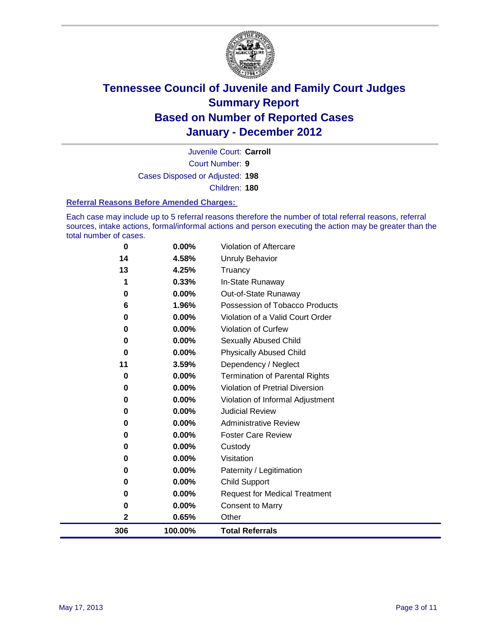

Court Number: **9** Juvenile Court: **Carroll** Cases Disposed or Adjusted: **198** Children: **180**

#### **Referral Reasons Before Amended Charges:**

Each case may include up to 5 referral reasons therefore the number of total referral reasons, referral sources, intake actions, formal/informal actions and person executing the action may be greater than the total number of cases.

| 306      | 100.00%  | <b>Total Referrals</b>                 |
|----------|----------|----------------------------------------|
| 2        | 0.65%    | Other                                  |
| 0        | 0.00%    | <b>Consent to Marry</b>                |
| 0        | 0.00%    | <b>Request for Medical Treatment</b>   |
| 0        | 0.00%    | <b>Child Support</b>                   |
| 0        | 0.00%    | Paternity / Legitimation               |
| 0        | 0.00%    | Visitation                             |
| 0        | 0.00%    | Custody                                |
| 0        | $0.00\%$ | <b>Foster Care Review</b>              |
| 0        | $0.00\%$ | <b>Administrative Review</b>           |
| 0        | 0.00%    | <b>Judicial Review</b>                 |
| 0        | 0.00%    | Violation of Informal Adjustment       |
| $\bf{0}$ | 0.00%    | <b>Violation of Pretrial Diversion</b> |
| $\bf{0}$ | 0.00%    | <b>Termination of Parental Rights</b>  |
| 11       | 3.59%    | Dependency / Neglect                   |
| $\bf{0}$ | 0.00%    | <b>Physically Abused Child</b>         |
| 0        | 0.00%    | <b>Sexually Abused Child</b>           |
| $\bf{0}$ | 0.00%    | Violation of Curfew                    |
| 0        | 0.00%    | Violation of a Valid Court Order       |
| 6        | 1.96%    | Possession of Tobacco Products         |
| $\bf{0}$ | 0.00%    | Out-of-State Runaway                   |
| 1        | 0.33%    | In-State Runaway                       |
| 13       | 4.25%    | Truancy                                |
| 14       | 4.58%    | <b>Unruly Behavior</b>                 |
| 0        | 0.00%    | Violation of Aftercare                 |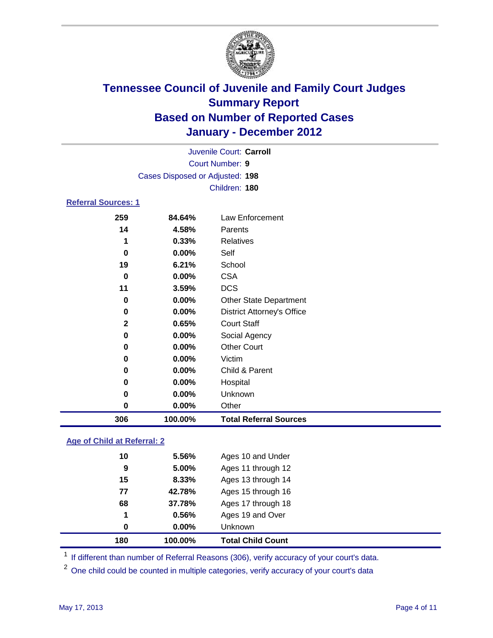

|                     | Juvenile Court: Carroll |                                 |  |  |  |  |
|---------------------|-------------------------|---------------------------------|--|--|--|--|
|                     | Court Number: 9         |                                 |  |  |  |  |
|                     |                         | Cases Disposed or Adjusted: 198 |  |  |  |  |
|                     |                         | Children: 180                   |  |  |  |  |
| Referral Sources: 1 |                         |                                 |  |  |  |  |
| 259                 | 84.64%                  | Law Enforcement                 |  |  |  |  |
| 14                  | 4.58%                   | Parents                         |  |  |  |  |
| 1                   | 0.33%                   | Relatives                       |  |  |  |  |
| 0                   | $0.00\%$                | Self                            |  |  |  |  |
| 19                  | 6.21%                   | School                          |  |  |  |  |
| <u>^</u>            | <u>____</u>             | <b>COM</b>                      |  |  |  |  |

| 306          | 100.00% | <b>Total Referral Sources</b>     |
|--------------|---------|-----------------------------------|
| 0            | 0.00%   | Other                             |
| 0            | 0.00%   | Unknown                           |
| 0            | 0.00%   | Hospital                          |
| 0            | 0.00%   | Child & Parent                    |
| 0            | 0.00%   | Victim                            |
| 0            | 0.00%   | <b>Other Court</b>                |
| 0            | 0.00%   | Social Agency                     |
| $\mathbf{2}$ | 0.65%   | <b>Court Staff</b>                |
| 0            | 0.00%   | <b>District Attorney's Office</b> |
| 0            | 0.00%   | <b>Other State Department</b>     |
| 11           | 3.59%   | <b>DCS</b>                        |
| 0            | 0.00%   | <b>CSA</b>                        |
| 19           | 6.21%   | School                            |
| 0            | 0.00%   | Self                              |
|              |         |                                   |

### **Age of Child at Referral: 2**

| 0  | 0.00%  | <b>Unknown</b>     |
|----|--------|--------------------|
| 1  | 0.56%  | Ages 19 and Over   |
| 68 | 37.78% | Ages 17 through 18 |
| 77 | 42.78% | Ages 15 through 16 |
| 15 | 8.33%  | Ages 13 through 14 |
| 9  | 5.00%  | Ages 11 through 12 |
| 10 | 5.56%  | Ages 10 and Under  |
|    |        |                    |

<sup>1</sup> If different than number of Referral Reasons (306), verify accuracy of your court's data.

<sup>2</sup> One child could be counted in multiple categories, verify accuracy of your court's data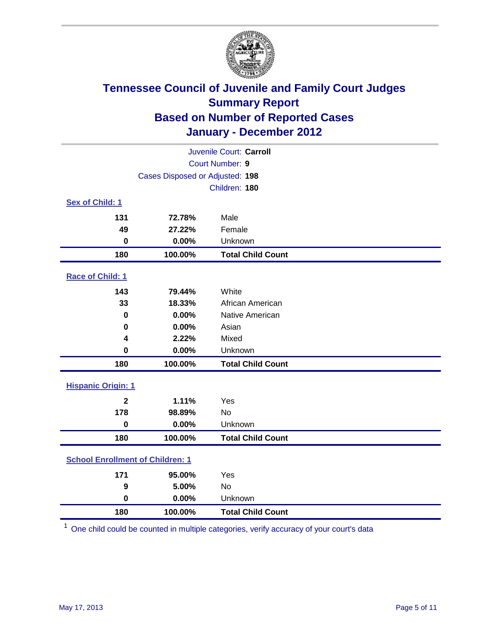

| Juvenile Court: Carroll                 |                                 |                          |  |  |  |
|-----------------------------------------|---------------------------------|--------------------------|--|--|--|
|                                         | Court Number: 9                 |                          |  |  |  |
|                                         | Cases Disposed or Adjusted: 198 |                          |  |  |  |
|                                         |                                 | Children: 180            |  |  |  |
| Sex of Child: 1                         |                                 |                          |  |  |  |
| 131                                     | 72.78%                          | Male                     |  |  |  |
| 49                                      | 27.22%                          | Female                   |  |  |  |
| $\bf{0}$                                | 0.00%                           | Unknown                  |  |  |  |
| 180                                     | 100.00%                         | <b>Total Child Count</b> |  |  |  |
| Race of Child: 1                        |                                 |                          |  |  |  |
| 143                                     | 79.44%                          | White                    |  |  |  |
| 33                                      | 18.33%                          | African American         |  |  |  |
| 0                                       | 0.00%                           | Native American          |  |  |  |
| $\mathbf 0$                             | 0.00%                           | Asian                    |  |  |  |
| 4                                       | 2.22%                           | Mixed                    |  |  |  |
| $\mathbf 0$                             | 0.00%                           | Unknown                  |  |  |  |
| 180                                     | 100.00%                         | <b>Total Child Count</b> |  |  |  |
| <b>Hispanic Origin: 1</b>               |                                 |                          |  |  |  |
| $\mathbf{2}$                            | 1.11%                           | Yes                      |  |  |  |
| 178                                     | 98.89%                          | <b>No</b>                |  |  |  |
| $\mathbf 0$                             | 0.00%                           | Unknown                  |  |  |  |
| 180                                     | 100.00%                         | <b>Total Child Count</b> |  |  |  |
| <b>School Enrollment of Children: 1</b> |                                 |                          |  |  |  |
| 171                                     | 95.00%                          | Yes                      |  |  |  |
| 9                                       | 5.00%                           | No                       |  |  |  |
| $\mathbf 0$                             | 0.00%                           | Unknown                  |  |  |  |
| 180                                     | 100.00%                         | <b>Total Child Count</b> |  |  |  |

One child could be counted in multiple categories, verify accuracy of your court's data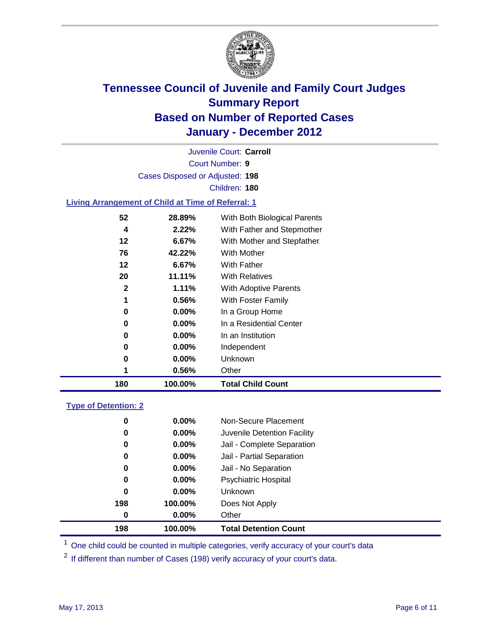

Court Number: **9** Juvenile Court: **Carroll** Cases Disposed or Adjusted: **198** Children: **180**

#### **Living Arrangement of Child at Time of Referral: 1**

| 180 | 100.00%       | <b>Total Child Count</b>     |
|-----|---------------|------------------------------|
|     | 0.56%<br>1    | Other                        |
|     | 0<br>$0.00\%$ | Unknown                      |
|     | $0.00\%$<br>0 | Independent                  |
|     | 0.00%<br>0    | In an Institution            |
|     | $0.00\%$<br>0 | In a Residential Center      |
|     | 0.00%<br>0    | In a Group Home              |
|     | 0.56%<br>1    | With Foster Family           |
|     | 2<br>$1.11\%$ | <b>With Adoptive Parents</b> |
|     | 11.11%<br>20  | <b>With Relatives</b>        |
|     | 12<br>6.67%   | With Father                  |
|     | 76<br>42.22%  | With Mother                  |
|     | 12<br>6.67%   | With Mother and Stepfather   |
|     | 2.22%<br>4    | With Father and Stepmother   |
|     | 52<br>28.89%  | With Both Biological Parents |
|     |               |                              |

#### **Type of Detention: 2**

| 198              | 100.00%  | <b>Total Detention Count</b> |
|------------------|----------|------------------------------|
| $\boldsymbol{0}$ | $0.00\%$ | Other                        |
| 198              | 100.00%  | Does Not Apply               |
| $\bf{0}$         | $0.00\%$ | Unknown                      |
| 0                | 0.00%    | <b>Psychiatric Hospital</b>  |
| 0                | 0.00%    | Jail - No Separation         |
| 0                | $0.00\%$ | Jail - Partial Separation    |
| 0                | $0.00\%$ | Jail - Complete Separation   |
| 0                | $0.00\%$ | Juvenile Detention Facility  |
| 0                | $0.00\%$ | Non-Secure Placement         |
|                  |          |                              |

<sup>1</sup> One child could be counted in multiple categories, verify accuracy of your court's data

<sup>2</sup> If different than number of Cases (198) verify accuracy of your court's data.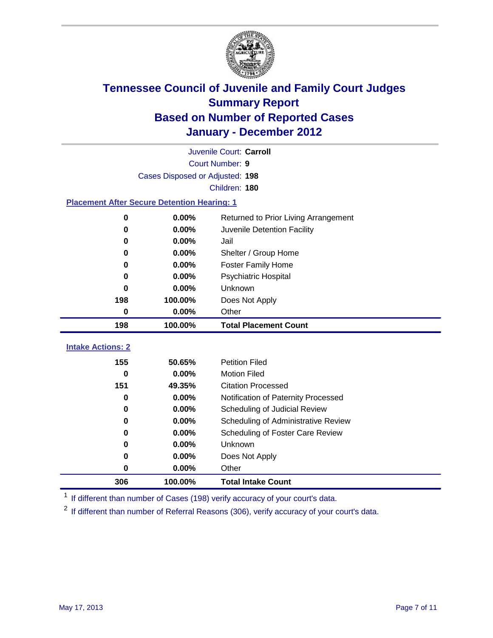

|                                                    | Juvenile Court: Carroll         |                                      |  |  |  |
|----------------------------------------------------|---------------------------------|--------------------------------------|--|--|--|
|                                                    | Court Number: 9                 |                                      |  |  |  |
|                                                    | Cases Disposed or Adjusted: 198 |                                      |  |  |  |
|                                                    |                                 | Children: 180                        |  |  |  |
| <b>Placement After Secure Detention Hearing: 1</b> |                                 |                                      |  |  |  |
| 0                                                  | 0.00%                           | Returned to Prior Living Arrangement |  |  |  |
| $\bf{0}$                                           | 0.00%                           | Juvenile Detention Facility          |  |  |  |
| 0                                                  | 0.00%                           | Jail                                 |  |  |  |
| 0                                                  | 0.00%                           | Shelter / Group Home                 |  |  |  |
| 0                                                  | 0.00%                           | Foster Family Home                   |  |  |  |
| 0                                                  | 0.00%                           | <b>Psychiatric Hospital</b>          |  |  |  |
| 0                                                  | 0.00%                           | Unknown                              |  |  |  |
| 198                                                | 100.00%                         | Does Not Apply                       |  |  |  |
| 0                                                  | 0.00%                           | Other                                |  |  |  |
| 198                                                | 100.00%                         | <b>Total Placement Count</b>         |  |  |  |
|                                                    |                                 |                                      |  |  |  |
| <b>Intake Actions: 2</b>                           |                                 |                                      |  |  |  |
| 155                                                | 50.65%                          | <b>Petition Filed</b>                |  |  |  |
| $\bf{0}$                                           | 0.00%                           | <b>Motion Filed</b>                  |  |  |  |
| 151                                                | 49.35%                          | <b>Citation Processed</b>            |  |  |  |
| $\bf{0}$                                           | 0.00%                           | Notification of Paternity Processed  |  |  |  |
| 0                                                  | 0.00%                           | Scheduling of Judicial Review        |  |  |  |
| $\bf{0}$                                           | 0.00%                           | Scheduling of Administrative Review  |  |  |  |
| 0                                                  | 0.00%                           | Scheduling of Foster Care Review     |  |  |  |
| 0                                                  | 0.00%                           | Unknown                              |  |  |  |
| 0                                                  | 0.00%                           | Does Not Apply                       |  |  |  |
| 0                                                  | 0.00%                           | Other                                |  |  |  |
| 306                                                | 100.00%                         | <b>Total Intake Count</b>            |  |  |  |

<sup>1</sup> If different than number of Cases (198) verify accuracy of your court's data.

<sup>2</sup> If different than number of Referral Reasons (306), verify accuracy of your court's data.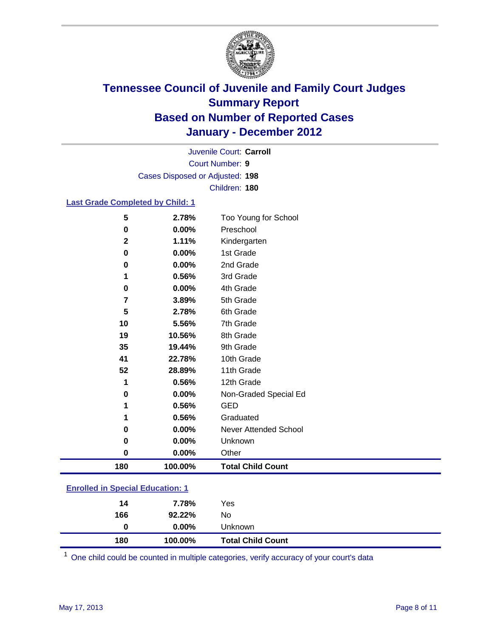

Court Number: **9** Juvenile Court: **Carroll** Cases Disposed or Adjusted: **198** Children: **180**

### **Last Grade Completed by Child: 1**

| 180         | 100.00%        | <b>Total Child Count</b>          |  |
|-------------|----------------|-----------------------------------|--|
| 0           | 0.00%          | Other                             |  |
| 0           | 0.00%          | Unknown                           |  |
| 0           | 0.00%          | <b>Never Attended School</b>      |  |
| 1           | 0.56%          | Graduated                         |  |
| 1           | 0.56%          | <b>GED</b>                        |  |
| 0           | 0.00%          | Non-Graded Special Ed             |  |
| 1           | 0.56%          | 12th Grade                        |  |
| 52          | 28.89%         | 11th Grade                        |  |
| 41          | 22.78%         | 10th Grade                        |  |
| 35          | 19.44%         | 9th Grade                         |  |
| 19          | 10.56%         | 8th Grade                         |  |
| 10          | 5.56%          | 7th Grade                         |  |
| 5           | 2.78%          | 6th Grade                         |  |
| 7           | 3.89%          | 5th Grade                         |  |
| 0           | 0.00%          | 4th Grade                         |  |
| 1           | 0.56%          | 3rd Grade                         |  |
| 0           | 0.00%          | 2nd Grade                         |  |
| 0           | 0.00%          | 1st Grade                         |  |
| $\mathbf 2$ | 1.11%          | Kindergarten                      |  |
| 5<br>0      | 2.78%<br>0.00% | Too Young for School<br>Preschool |  |

| 180                                       | 100.00%  | <b>Total Child Count</b> |  |  |
|-------------------------------------------|----------|--------------------------|--|--|
| 0                                         | $0.00\%$ | Unknown                  |  |  |
| 166                                       | 92.22%   | No                       |  |  |
| 14                                        | 7.78%    | Yes                      |  |  |
| <u>Lillolled III opecial Luucation. T</u> |          |                          |  |  |

One child could be counted in multiple categories, verify accuracy of your court's data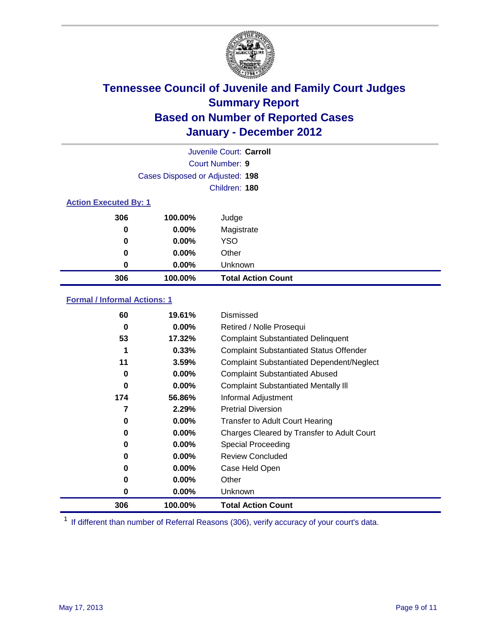

|                              |                                 | Juvenile Court: Carroll   |
|------------------------------|---------------------------------|---------------------------|
|                              |                                 | Court Number: 9           |
|                              | Cases Disposed or Adjusted: 198 |                           |
|                              |                                 | Children: 180             |
| <b>Action Executed By: 1</b> |                                 |                           |
| 306                          | 100.00%                         | Judge                     |
| 0                            | $0.00\%$                        | Magistrate                |
| 0                            | $0.00\%$                        | <b>YSO</b>                |
| 0                            | $0.00\%$                        | Other                     |
| 0                            | 0.00%                           | Unknown                   |
| 306                          | 100.00%                         | <b>Total Action Count</b> |

### **Formal / Informal Actions: 1**

| 60       | 19.61%   | Dismissed                                        |
|----------|----------|--------------------------------------------------|
| 0        | $0.00\%$ | Retired / Nolle Prosequi                         |
| 53       | 17.32%   | <b>Complaint Substantiated Delinquent</b>        |
| 1        | 0.33%    | <b>Complaint Substantiated Status Offender</b>   |
| 11       | 3.59%    | <b>Complaint Substantiated Dependent/Neglect</b> |
| 0        | $0.00\%$ | <b>Complaint Substantiated Abused</b>            |
| $\bf{0}$ | $0.00\%$ | <b>Complaint Substantiated Mentally III</b>      |
| 174      | 56.86%   | Informal Adjustment                              |
| 7        | 2.29%    | <b>Pretrial Diversion</b>                        |
| 0        | $0.00\%$ | <b>Transfer to Adult Court Hearing</b>           |
| 0        | $0.00\%$ | Charges Cleared by Transfer to Adult Court       |
| 0        | $0.00\%$ | Special Proceeding                               |
| 0        | $0.00\%$ | <b>Review Concluded</b>                          |
| 0        | $0.00\%$ | Case Held Open                                   |
| 0        | $0.00\%$ | Other                                            |
| 0        | $0.00\%$ | Unknown                                          |
| 306      | 100.00%  | <b>Total Action Count</b>                        |

<sup>1</sup> If different than number of Referral Reasons (306), verify accuracy of your court's data.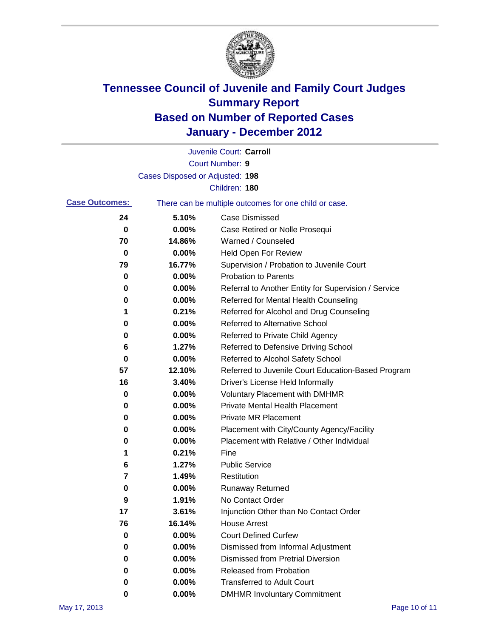

|                       |                                 | Juvenile Court: Carroll                               |
|-----------------------|---------------------------------|-------------------------------------------------------|
|                       |                                 | <b>Court Number: 9</b>                                |
|                       | Cases Disposed or Adjusted: 198 |                                                       |
|                       |                                 | Children: 180                                         |
| <b>Case Outcomes:</b> |                                 | There can be multiple outcomes for one child or case. |
| 24                    | 5.10%                           | <b>Case Dismissed</b>                                 |
| 0                     | 0.00%                           | Case Retired or Nolle Prosequi                        |
| 70                    | 14.86%                          | Warned / Counseled                                    |
| 0                     | 0.00%                           | <b>Held Open For Review</b>                           |
| 79                    | 16.77%                          | Supervision / Probation to Juvenile Court             |
| 0                     | 0.00%                           | <b>Probation to Parents</b>                           |
| 0                     | 0.00%                           | Referral to Another Entity for Supervision / Service  |
| 0                     | 0.00%                           | Referred for Mental Health Counseling                 |
| 1                     | 0.21%                           | Referred for Alcohol and Drug Counseling              |
| 0                     | 0.00%                           | <b>Referred to Alternative School</b>                 |
| 0                     | 0.00%                           | Referred to Private Child Agency                      |
| 6                     | 1.27%                           | Referred to Defensive Driving School                  |
| 0                     | 0.00%                           | Referred to Alcohol Safety School                     |
| 57                    | 12.10%                          | Referred to Juvenile Court Education-Based Program    |
| 16                    | 3.40%                           | Driver's License Held Informally                      |
| 0                     | 0.00%                           | <b>Voluntary Placement with DMHMR</b>                 |
| 0                     | 0.00%                           | <b>Private Mental Health Placement</b>                |
| 0                     | 0.00%                           | <b>Private MR Placement</b>                           |
| 0                     | 0.00%                           | Placement with City/County Agency/Facility            |
| 0                     | 0.00%                           | Placement with Relative / Other Individual            |
| 1                     | 0.21%                           | Fine                                                  |
| 6                     | 1.27%                           | <b>Public Service</b>                                 |
| 7                     | 1.49%                           | Restitution                                           |
| 0                     | 0.00%                           | <b>Runaway Returned</b>                               |
| 9                     | 1.91%                           | No Contact Order                                      |
| 17                    | 3.61%                           | Injunction Other than No Contact Order                |
| 76                    | 16.14%                          | <b>House Arrest</b>                                   |
| 0                     | 0.00%                           | <b>Court Defined Curfew</b>                           |
| 0                     | 0.00%                           | Dismissed from Informal Adjustment                    |
| 0                     | 0.00%                           | <b>Dismissed from Pretrial Diversion</b>              |
| 0                     | 0.00%                           | Released from Probation                               |
| 0                     | 0.00%                           | <b>Transferred to Adult Court</b>                     |
| 0                     | $0.00\%$                        | <b>DMHMR Involuntary Commitment</b>                   |